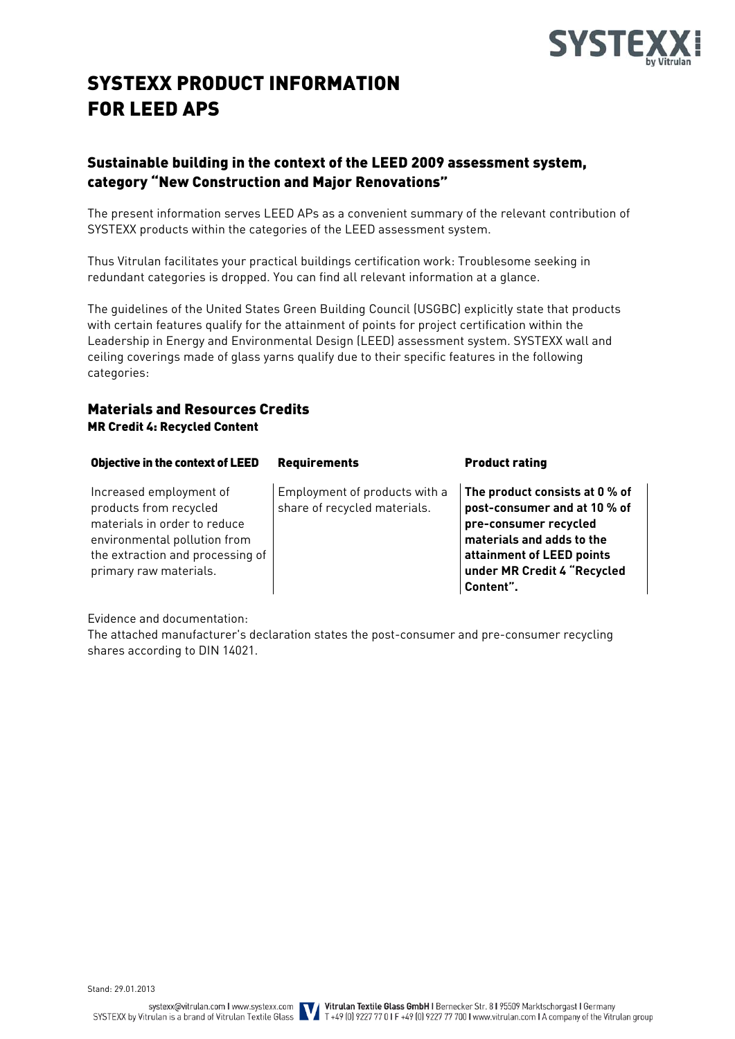

# SYSTEXX PRODUCT INFORMATION FOR LEED APS

# Sustainable building in the context of the LEED 2009 assessment system, category "New Construction and Major Renovations"

The present information serves LEED APs as a convenient summary of the relevant contribution of SYSTEXX products within the categories of the LEED assessment system.

Thus Vitrulan facilitates your practical buildings certification work: Troublesome seeking in redundant categories is dropped. You can find all relevant information at a glance.

The guidelines of the United States Green Building Council (USGBC) explicitly state that products with certain features qualify for the attainment of points for project certification within the Leadership in Energy and Environmental Design (LEED) assessment system. SYSTEXX wall and ceiling coverings made of glass yarns qualify due to their specific features in the following categories:

# Materials and Resources Credits MR Credit 4: Recycled Content

| Objective in the context of LEED                                                                                                                                                | <b>Requirements</b>                                           | <b>Product rating</b>                                                                                                                                                                         |
|---------------------------------------------------------------------------------------------------------------------------------------------------------------------------------|---------------------------------------------------------------|-----------------------------------------------------------------------------------------------------------------------------------------------------------------------------------------------|
| Increased employment of<br>products from recycled<br>materials in order to reduce<br>environmental pollution from<br>the extraction and processing of<br>primary raw materials. | Employment of products with a<br>share of recycled materials. | The product consists at 0 % of<br>post-consumer and at 10 % of<br>pre-consumer recycled<br>materials and adds to the<br>attainment of LEED points<br>under MR Credit 4 "Recycled<br>Content". |

Evidence and documentation:

The attached manufacturer's declaration states the post-consumer and pre-consumer recycling shares according to DIN 14021.

Stand: 29.01.2013

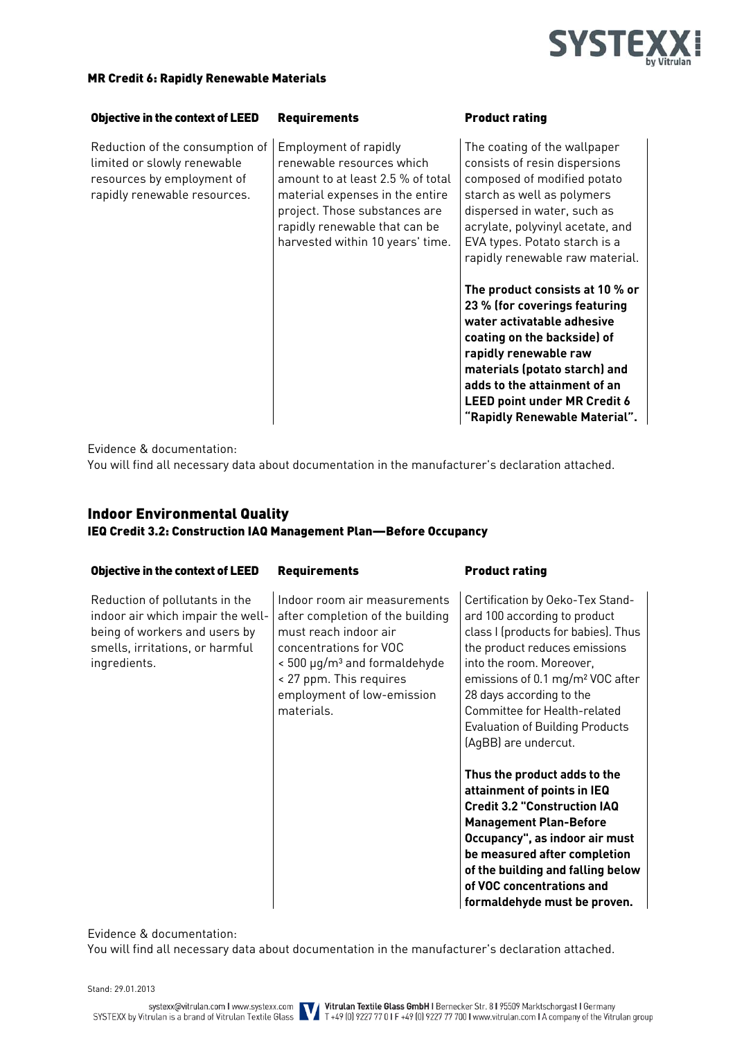

### MR Credit 6: Rapidly Renewable Materials

#### Objective in the context of LEED Requirements Product rating

Reduction of the consumption of limited or slowly renewable resources by employment of rapidly renewable resources.

Employment of rapidly renewable resources which amount to at least 2.5 % of total material expenses in the entire project. Those substances are rapidly renewable that can be harvested within 10 years' time.

The coating of the wallpaper consists of resin dispersions composed of modified potato starch as well as polymers dispersed in water, such as acrylate, polyvinyl acetate, and EVA types. Potato starch is a rapidly renewable raw material.

**The product consists at 10 % or 23 % (for coverings featuring water activatable adhesive coating on the backside) of rapidly renewable raw materials (potato starch) and adds to the attainment of an LEED point under MR Credit 6 "Rapidly Renewable Material".**

Evidence & documentation:

You will find all necessary data about documentation in the manufacturer's declaration attached.

# Indoor Environmental Quality IEQ Credit 3.2: Construction IAQ Management Plan—Before Occupancy

| <b>Objective in the context of LEED</b>                                                                                                                 | <b>Requirements</b>                                                                                                                                                                                                                           | <b>Product rating</b>                                                                                                                                                                                                                                                                                                                              |
|---------------------------------------------------------------------------------------------------------------------------------------------------------|-----------------------------------------------------------------------------------------------------------------------------------------------------------------------------------------------------------------------------------------------|----------------------------------------------------------------------------------------------------------------------------------------------------------------------------------------------------------------------------------------------------------------------------------------------------------------------------------------------------|
| Reduction of pollutants in the<br>indoor air which impair the well-<br>being of workers and users by<br>smells, irritations, or harmful<br>ingredients. | Indoor room air measurements<br>after completion of the building<br>must reach indoor air<br>concentrations for VOC<br>$<$ 500 $\mu$ g/m <sup>3</sup> and formaldehyde<br>< 27 ppm. This requires<br>employment of low-emission<br>materials. | Certification by Oeko-Tex Stand-<br>ard 100 according to product<br>class I (products for babies). Thus<br>the product reduces emissions<br>into the room. Moreover,<br>emissions of 0.1 mg/m <sup>2</sup> VOC after<br>28 days according to the<br>Committee for Health-related<br><b>Evaluation of Building Products</b><br>(AgBB) are undercut. |
|                                                                                                                                                         |                                                                                                                                                                                                                                               | Thus the product adds to the<br>attainment of points in IEQ<br><b>Credit 3.2 "Construction IAQ</b><br><b>Management Plan-Before</b><br>Occupancy", as indoor air must<br>be measured after completion<br>of the building and falling below<br>of VOC concentrations and<br>formaldehyde must be proven.                                            |

Evidence & documentation:

You will find all necessary data about documentation in the manufacturer's declaration attached.